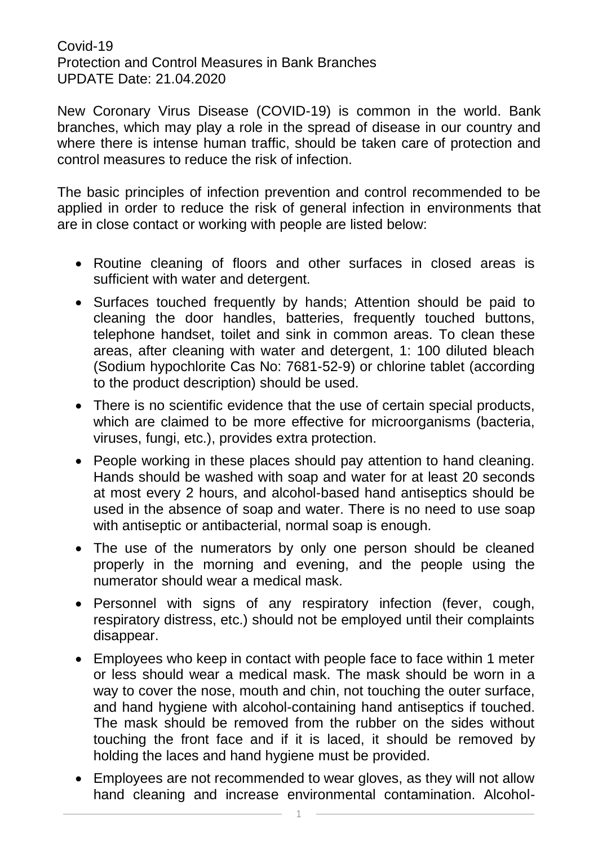Covid-19 Protection and Control Measures in Bank Branches UPDATE Date: 21.04.2020

New Coronary Virus Disease (COVID-19) is common in the world. Bank branches, which may play a role in the spread of disease in our country and where there is intense human traffic, should be taken care of protection and control measures to reduce the risk of infection.

The basic principles of infection prevention and control recommended to be applied in order to reduce the risk of general infection in environments that are in close contact or working with people are listed below:

- Routine cleaning of floors and other surfaces in closed areas is sufficient with water and detergent.
- Surfaces touched frequently by hands; Attention should be paid to cleaning the door handles, batteries, frequently touched buttons, telephone handset, toilet and sink in common areas. To clean these areas, after cleaning with water and detergent, 1: 100 diluted bleach (Sodium hypochlorite Cas No: 7681-52-9) or chlorine tablet (according to the product description) should be used.
- There is no scientific evidence that the use of certain special products, which are claimed to be more effective for microorganisms (bacteria, viruses, fungi, etc.), provides extra protection.
- People working in these places should pay attention to hand cleaning. Hands should be washed with soap and water for at least 20 seconds at most every 2 hours, and alcohol-based hand antiseptics should be used in the absence of soap and water. There is no need to use soap with antiseptic or antibacterial, normal soap is enough.
- The use of the numerators by only one person should be cleaned properly in the morning and evening, and the people using the numerator should wear a medical mask.
- Personnel with signs of any respiratory infection (fever, cough, respiratory distress, etc.) should not be employed until their complaints disappear.
- Employees who keep in contact with people face to face within 1 meter or less should wear a medical mask. The mask should be worn in a way to cover the nose, mouth and chin, not touching the outer surface, and hand hygiene with alcohol-containing hand antiseptics if touched. The mask should be removed from the rubber on the sides without touching the front face and if it is laced, it should be removed by holding the laces and hand hygiene must be provided.
- Employees are not recommended to wear gloves, as they will not allow hand cleaning and increase environmental contamination. Alcohol-